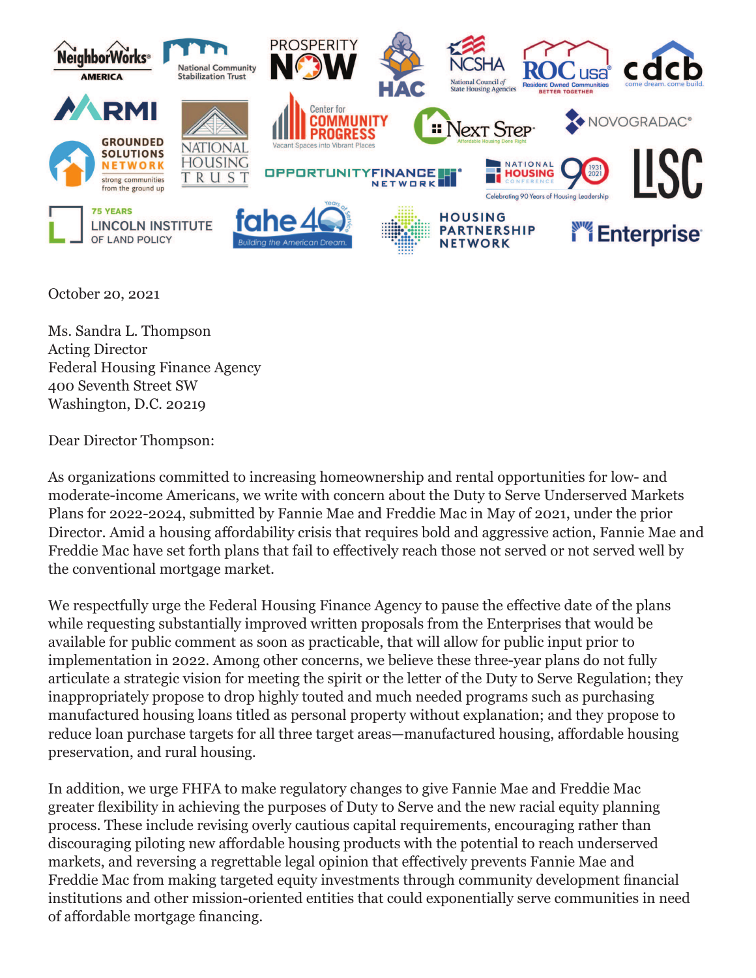

October 20, 2021

Ms. Sandra L. Thompson Acting Director Federal Housing Finance Agency 400 Seventh Street SW Washington, D.C. 20219

Dear Director Thompson:

As organizations committed to increasing homeownership and rental opportunities for low- and moderate-income Americans, we write with concern about the Duty to Serve Underserved Markets Plans for 2022-2024, submitted by Fannie Mae and Freddie Mac in May of 2021, under the prior Director. Amid a housing affordability crisis that requires bold and aggressive action, Fannie Mae and Freddie Mac have set forth plans that fail to effectively reach those not served or not served well by the conventional mortgage market.

We respectfully urge the Federal Housing Finance Agency to pause the effective date of the plans while requesting substantially improved written proposals from the Enterprises that would be available for public comment as soon as practicable, that will allow for public input prior to implementation in 2022. Among other concerns, we believe these three-year plans do not fully articulate a strategic vision for meeting the spirit or the letter of the Duty to Serve Regulation; they inappropriately propose to drop highly touted and much needed programs such as purchasing manufactured housing loans titled as personal property without explanation; and they propose to reduce loan purchase targets for all three target areas—manufactured housing, affordable housing preservation, and rural housing.

In addition, we urge FHFA to make regulatory changes to give Fannie Mae and Freddie Mac greater flexibility in achieving the purposes of Duty to Serve and the new racial equity planning process. These include revising overly cautious capital requirements, encouraging rather than discouraging piloting new affordable housing products with the potential to reach underserved markets, and reversing a regrettable legal opinion that effectively prevents Fannie Mae and Freddie Mac from making targeted equity investments through community development financial institutions and other mission-oriented entities that could exponentially serve communities in need of affordable mortgage financing.